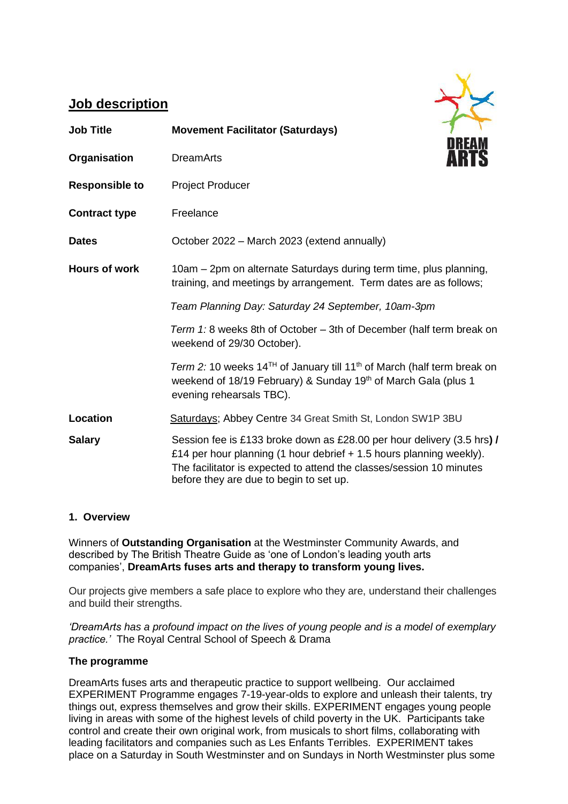# **Job description**

| <b>Job Title</b>      | <b>Movement Facilitator (Saturdays)</b>                                                                                                                                                                                                                          |
|-----------------------|------------------------------------------------------------------------------------------------------------------------------------------------------------------------------------------------------------------------------------------------------------------|
| Organisation          | DREAN<br><b>DreamArts</b>                                                                                                                                                                                                                                        |
| <b>Responsible to</b> | <b>Project Producer</b>                                                                                                                                                                                                                                          |
| <b>Contract type</b>  | Freelance                                                                                                                                                                                                                                                        |
| <b>Dates</b>          | October 2022 - March 2023 (extend annually)                                                                                                                                                                                                                      |
| <b>Hours of work</b>  | 10am - 2pm on alternate Saturdays during term time, plus planning,<br>training, and meetings by arrangement. Term dates are as follows;                                                                                                                          |
|                       | Team Planning Day: Saturday 24 September, 10am-3pm                                                                                                                                                                                                               |
|                       | Term 1: 8 weeks 8th of October - 3th of December (half term break on<br>weekend of 29/30 October).                                                                                                                                                               |
|                       | Term 2: 10 weeks 14 <sup>TH</sup> of January till 11 <sup>th</sup> of March (half term break on<br>weekend of 18/19 February) & Sunday 19th of March Gala (plus 1<br>evening rehearsals TBC).                                                                    |
| <b>Location</b>       | Saturdays; Abbey Centre 34 Great Smith St, London SW1P 3BU                                                                                                                                                                                                       |
| <b>Salary</b>         | Session fee is £133 broke down as £28.00 per hour delivery (3.5 hrs) /<br>£14 per hour planning (1 hour debrief + 1.5 hours planning weekly).<br>The facilitator is expected to attend the classes/session 10 minutes<br>before they are due to begin to set up. |

# **1. Overview**

Winners of **Outstanding Organisation** at the Westminster Community Awards, and described by The British Theatre Guide as 'one of London's leading youth arts companies', **DreamArts fuses arts and therapy to transform young lives.** 

Our projects give members a safe place to explore who they are, understand their challenges and build their strengths.

*'DreamArts has a profound impact on the lives of young people and is a model of exemplary practice.'* The Royal Central School of Speech & Drama

# **The programme**

DreamArts fuses arts and therapeutic practice to support wellbeing. Our acclaimed EXPERIMENT Programme engages 7-19-year-olds to explore and unleash their talents, try things out, express themselves and grow their skills. EXPERIMENT engages young people living in areas with some of the highest levels of child poverty in the UK. Participants take control and create their own original work, from musicals to short films, collaborating with leading facilitators and companies such as Les Enfants Terribles. EXPERIMENT takes place on a Saturday in South Westminster and on Sundays in North Westminster plus some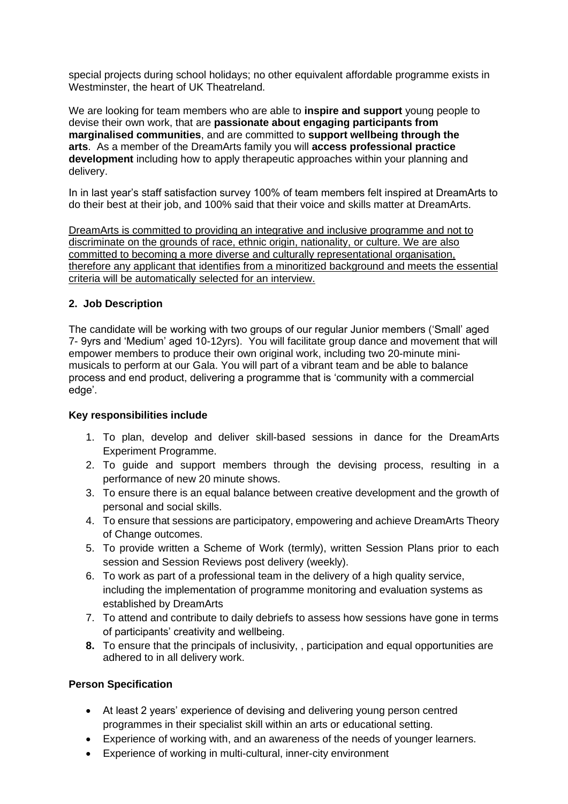special projects during school holidays; no other equivalent affordable programme exists in Westminster, the heart of UK Theatreland.

We are looking for team members who are able to **inspire and support** young people to devise their own work, that are **passionate about engaging participants from marginalised communities**, and are committed to **support wellbeing through the arts**. As a member of the DreamArts family you will **access professional practice development** including how to apply therapeutic approaches within your planning and delivery.

In in last year's staff satisfaction survey 100% of team members felt inspired at DreamArts to do their best at their job, and 100% said that their voice and skills matter at DreamArts.

DreamArts is committed to providing an integrative and inclusive programme and not to discriminate on the grounds of race, ethnic origin, nationality, or culture. We are also committed to becoming a more diverse and culturally representational organisation, therefore any applicant that identifies from a minoritized background and meets the essential criteria will be automatically selected for an interview.

## **2. Job Description**

The candidate will be working with two groups of our regular Junior members ('Small' aged 7- 9yrs and 'Medium' aged 10-12yrs). You will facilitate group dance and movement that will empower members to produce their own original work, including two 20-minute minimusicals to perform at our Gala. You will part of a vibrant team and be able to balance process and end product, delivering a programme that is 'community with a commercial edge'.

#### **Key responsibilities include**

- 1. To plan, develop and deliver skill-based sessions in dance for the DreamArts Experiment Programme.
- 2. To guide and support members through the devising process, resulting in a performance of new 20 minute shows.
- 3. To ensure there is an equal balance between creative development and the growth of personal and social skills.
- 4. To ensure that sessions are participatory, empowering and achieve DreamArts Theory of Change outcomes.
- 5. To provide written a Scheme of Work (termly), written Session Plans prior to each session and Session Reviews post delivery (weekly).
- 6. To work as part of a professional team in the delivery of a high quality service, including the implementation of programme monitoring and evaluation systems as established by DreamArts
- 7. To attend and contribute to daily debriefs to assess how sessions have gone in terms of participants' creativity and wellbeing.
- **8.** To ensure that the principals of inclusivity, , participation and equal opportunities are adhered to in all delivery work.

#### **Person Specification**

- At least 2 years' experience of devising and delivering young person centred programmes in their specialist skill within an arts or educational setting.
- Experience of working with, and an awareness of the needs of younger learners.
- Experience of working in multi-cultural, inner-city environment